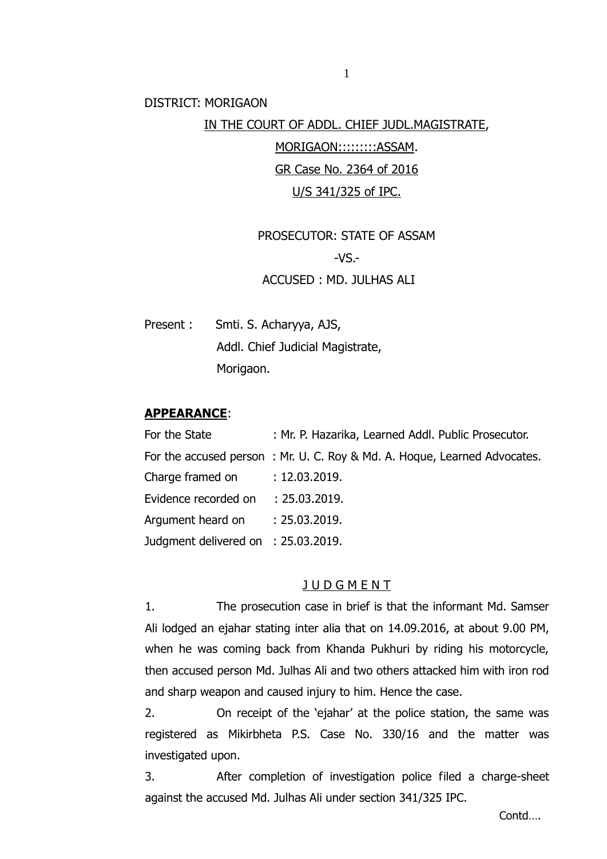DISTRICT: MORIGAON

## IN THE COURT OF ADDL. CHIEF JUDL.MAGISTRATE,

MORIGAON:::::::::ASSAM. GR Case No. 2364 of 2016 U/S 341/325 of IPC.

PROSECUTOR: STATE OF ASSAM  $-VS$ .-ACCUSED : MD. JULHAS ALI

Present : Smti. S. Acharyya, AJS, Addl. Chief Judicial Magistrate, Morigaon.

#### **APPEARANCE**:

| For the State                       | : Mr. P. Hazarika, Learned Addl. Public Prosecutor.                      |
|-------------------------------------|--------------------------------------------------------------------------|
|                                     | For the accused person: Mr. U. C. Roy & Md. A. Hoque, Learned Advocates. |
| Charge framed on : 12.03.2019.      |                                                                          |
| Evidence recorded on : 25.03.2019.  |                                                                          |
| Argument heard on : 25.03.2019.     |                                                                          |
| Judgment delivered on : 25.03.2019. |                                                                          |

### **JUDGMENT**

1. The prosecution case in brief is that the informant Md. Samser Ali lodged an ejahar stating inter alia that on 14.09.2016, at about 9.00 PM, when he was coming back from Khanda Pukhuri by riding his motorcycle, then accused person Md. Julhas Ali and two others attacked him with iron rod and sharp weapon and caused injury to him. Hence the case.

2. On receipt of the 'ejahar' at the police station, the same was registered as Mikirbheta P.S. Case No. 330/16 and the matter was investigated upon.

3. After completion of investigation police filed a charge-sheet against the accused Md. Julhas Ali under section 341/325 IPC.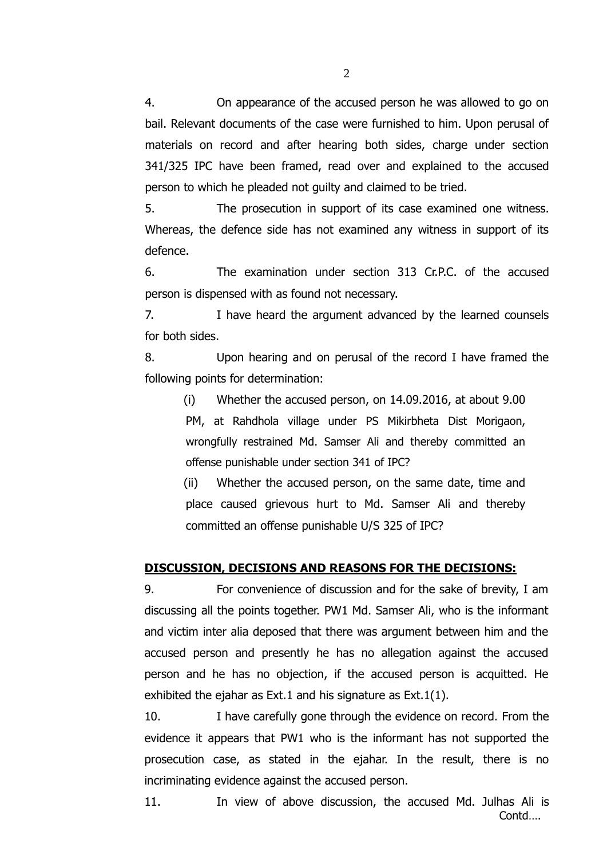4. On appearance of the accused person he was allowed to go on bail. Relevant documents of the case were furnished to him. Upon perusal of materials on record and after hearing both sides, charge under section 341/325 IPC have been framed, read over and explained to the accused person to which he pleaded not guilty and claimed to be tried.

5. The prosecution in support of its case examined one witness. Whereas, the defence side has not examined any witness in support of its defence.

6. The examination under section 313 Cr.P.C. of the accused person is dispensed with as found not necessary.

7. I have heard the argument advanced by the learned counsels for both sides.

8. Upon hearing and on perusal of the record I have framed the following points for determination:

(i) Whether the accused person, on 14.09.2016, at about 9.00 PM, at Rahdhola village under PS Mikirbheta Dist Morigaon, wrongfully restrained Md. Samser Ali and thereby committed an offense punishable under section 341 of IPC?

(ii) Whether the accused person, on the same date, time and place caused grievous hurt to Md. Samser Ali and thereby committed an offense punishable U/S 325 of IPC?

#### **DISCUSSION, DECISIONS AND REASONS FOR THE DECISIONS:**

9. For convenience of discussion and for the sake of brevity, I am discussing all the points together. PW1 Md. Samser Ali, who is the informant and victim inter alia deposed that there was argument between him and the accused person and presently he has no allegation against the accused person and he has no objection, if the accused person is acquitted. He exhibited the ejahar as Ext.1 and his signature as Ext.1(1).

10. I have carefully gone through the evidence on record. From the evidence it appears that PW1 who is the informant has not supported the prosecution case, as stated in the ejahar. In the result, there is no incriminating evidence against the accused person.

 Contd…. 11. In view of above discussion, the accused Md. Julhas Ali is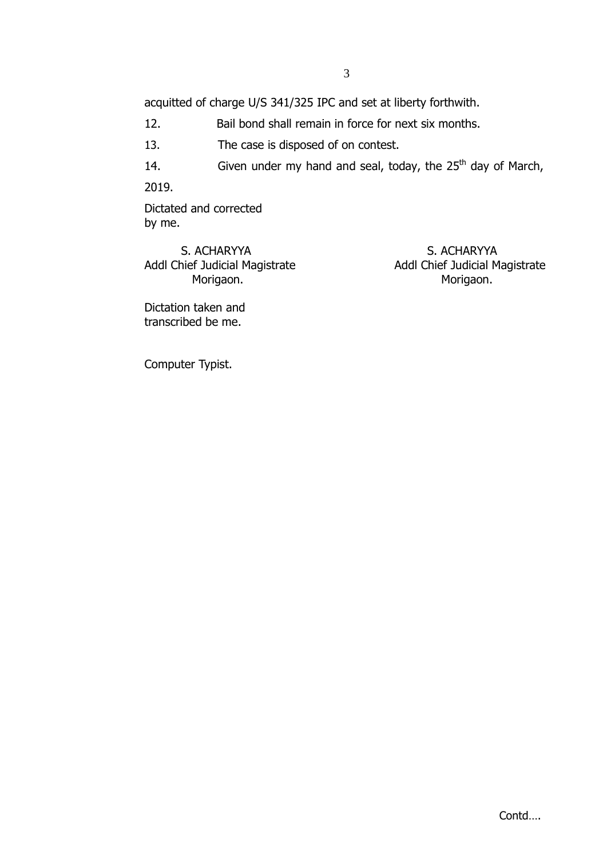acquitted of charge U/S 341/325 IPC and set at liberty forthwith.

12. Bail bond shall remain in force for next six months.

13. The case is disposed of on contest.

14. Given under my hand and seal, today, the  $25<sup>th</sup>$  day of March,

2019.

Dictated and corrected by me.

S. ACHARYYA S. ACHARYYA Morigaon. **Morigaon.** Morigaon.

Addl Chief Judicial Magistrate Addl Chief Judicial Magistrate

Dictation taken and transcribed be me.

Computer Typist.